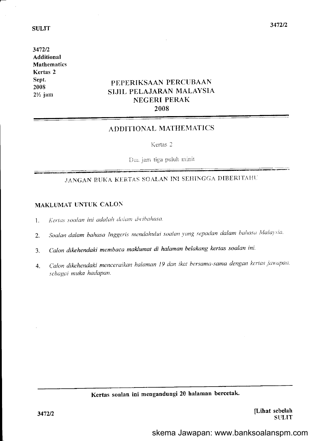3472/2 Additional Mathematics Kertas 2 Sept. 2008 2% jam

# PEPERIKSAAN PERCUBAAN SIJIL PELAJARAN MALAYSIA NEGERI PERAK 2008

# ADDITIONAL MATHEMATICS

Kertas 2

Dua jam tiga puluh minit

# JANGAN EUKA KERTAS SOALAN INI SEHINGGA DIBERITAHU

# MAKLUMAT UNTUK CALON

- $1.$  Kertas soalan ini adalah dalam dwibahasa.
- 2. Soalan dalam bahasa Inggeris mendahului soalan yang sepadan dalam bahasa Malaysia.
- 3. Calon dikehendaki membaca maklumat di halaman belakang kertas soalan ini.
- 4. Calon dikehendaki menceraikan halaman 19 dan ikat bersama-sama dengan kertas jawapan. sebagai muka hadapan.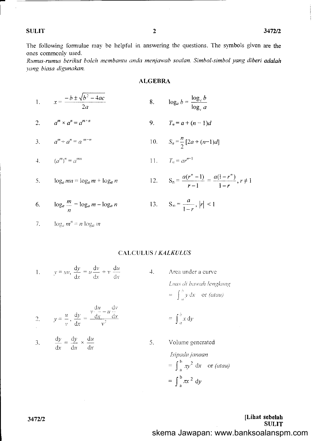The following formulae may be helpful in answering the questions. The symbols given are the ones commonly used.

Rumus-rumus berikut boleh membantu anda menjawab soalan. Simbol-simbol yang diberi adalah vang biasa digunakan.

#### **ALGEBRA**

1. 
$$
x = \frac{-b \pm \sqrt{b^2 - 4ac}}{2a}
$$
 8. 
$$
\log_a b = \frac{\log_c b}{\log_c a}
$$

2. 
$$
a^m \times a^n = a^{m+n}
$$
 9.  $T_n = a + (n-1)d$ 

3. 
$$
a^m \div a^n = a^{m-n}
$$
 10.  $S_n = \frac{n}{2} [2a + (n-1)d]$ 

4. 
$$
(a^m)^n = a^{mn}
$$
 11.  $T_n = ar^{n-1}$ 

 $\log_a mn = \log_a m + \log_a n$ 5.

6. 
$$
\log_a \frac{m}{n} = \log_a m - \log_a n
$$

13. 
$$
S_{\infty} = \frac{a}{1-r}, |r| < 1
$$

12.  $S_n = \frac{a(r^n - 1)}{r - 1} = \frac{a(1 - r^n)}{1 - r}, r \neq 1$ 

7. 
$$
\log_a m^n = n \log_a m
$$

# CALCULUS / KALKULUS

 $4.$ 

5.

1. 
$$
y = uv, \frac{dy}{dx} = u \frac{dv}{dx} + v \frac{du}{dx}
$$

Area under a curve Luas di bawah lengkung  $= \int_{a}^{b} y \, dx$  or *(atau)* 

 $=\int_{a}^{b} x dy$ 

2. 
$$
y = \frac{u}{v}, \frac{dy}{dx} = \frac{v \frac{du}{dx} - u \frac{dv}{dx}}{v^2}
$$

3. 
$$
\frac{dy}{dx} = \frac{dy}{du} \times \frac{du}{dx}
$$

Volume generated  
\n
$$
Isipadujanaan
$$
\n
$$
= \int_{a}^{b} \pi y^2 dx \text{ or } (atau)
$$
\n
$$
= \int_{a}^{b} \pi x^2 dy
$$

[Lihat sebelah **SULIT** skema Jawapan: www.banksoalanspm.com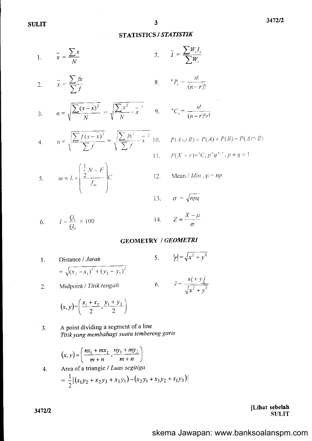# STATISTICS / STATISTIK

1. 
$$
\bar{x} = \frac{\sum x}{N}
$$
 7.  $\bar{I} = \frac{\sum W_i I_i}{\sum W_i}$ 

 $\mathcal{A}_{\mathcal{A}}$ 

2. 
$$
\bar{x} = \frac{\sum fx}{\sum f}
$$
 8.  ${}^nP_r = \frac{n!}{(n-r)}$ 

3. 
$$
\sigma = \sqrt{\frac{\sum (x - \overline{x})^2}{N}} = \sqrt{\frac{\sum x^2}{N} - \overline{x}^2} = 9.
$$

4. 
$$
\sigma = \sqrt{\frac{\sum f(x - \overline{x})^2}{\sum f}} = \sqrt{\frac{\sum fx^2}{\sum f} - \overline{x}^2} = 10.
$$

 $\frac{1}{2}N-F$ 

 $\sqrt{2}$ 

$$
\begin{array}{cc}\n & n! \\
& \ldots \\
& n \end{array}
$$

nl.

 $\sum_{i=1}^{n}$ 

$$
{}^{n}C_{r} = \frac{m}{(n-r)!r!}
$$

$$
P(A \cup B) = P(A) + P(B) - P(A \cap B)
$$

$$
P(X = r) = {}^{n}C_{r} p^{r} q^{n-r}, p + q = 1
$$

Mean /  $Min$ ,  $\mu = np$ 1?.

13. 
$$
\sigma = \sqrt{npq}
$$

$$
I = \frac{Q_1}{Q_0} \times 100
$$

5.  $m = L + \frac{2}{f}$   $C$ 

$$
Z = \frac{X - \mu}{\sigma}
$$

#### GEOMETRY / GEOMETRI

 $14.$ 

l . Distance / Jarak  $=\sqrt{(x_2-x_1)^2+(y_2-y_1)^2}$ 5.  $|x| = \sqrt{x^2 + y^2}$ 6.

Midpoint IT'irik tengah

$$
\hat{r} = \frac{x\hat{i} + y\hat{j}}{\sqrt{x^2 + y^2}}
$$

$$
(x, y) = \left(\frac{x_1 + x_2}{2}, \frac{y_1 + y_2}{2}\right)
$$

A point dividing a segment of a line Titik yang membahagi suatu lembereng garis 3.

$$
(x, y) = \left(\frac{nx_1 + mx_2}{m+n}, \frac{ny_1 + my_2}{m+n}\right)
$$

4. Area of a triangle / *Luas segitiga*  
= 
$$
\frac{1}{2} |(x_1y_2 + x_2y_3 + x_3y_1) - (x_2y_1 + x_3y_2 + x_1y_3)|
$$

[Lihat sebelah **SULIT** 

 $\hat{\mathcal{L}}$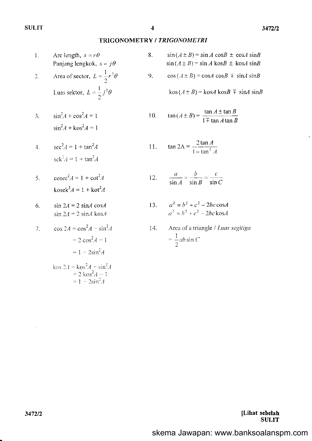#### TRIGONOMETRY / TRIGONOMETRI

8.

9.

 $11$ 

- Arc length,  $s = r\theta$  $1.$ Panjang lengkok,  $s = j\theta$ Area of sector,  $L = \frac{1}{2}r^2\theta$  $\overline{2}$ . Luas sektor,  $L = \frac{1}{2} j^2 \theta$  $\sin^2 A + \cos^2 A = 1$  $\overline{3}$ .  $\sin^2 A + \cos^2 A = 1$  $sec<sup>2</sup>A = 1 + tan<sup>2</sup>A$  $\overline{4}$ .  $se^{2} A = 1 + \tan^{2} A$  $\csc^2 A = 1 + \cot^2 A$  $\overline{5}$ .  $kosek<sup>2</sup>A = 1 + kot<sup>2</sup>A$  $\sin 2A = 2 \sin A \cos A$ 6.  $\sin 2A = 2 \sin A \cos A$  $\cos 2A = \cos^2 A - \sin^2 A$  $7<sup>1</sup>$  $= 2 \cos^2 A - 1$  $= 1 - 2\sin^2 A$ kos  $2A = k \cos^2 A - \sin^2 A$ <br>=  $2 k \cos^2 A - 1$ <br>=  $1 - 2 \sin^2 A$
- $sin(A \pm B) = sin A cos B \pm cos A sin B$  $sin(A \pm B) = sin A$  kos $B \pm$  kos $A$  sin $B$
- $cos(A \pm B) = cosA cosB \mp sinA sinB$

 $\cos(A \pm B) = \cos A \cos B \mp \sin A \sin B$ 

10. 
$$
\tan(A \pm B) = \frac{\tan A \pm \tan B}{1 \mp \tan A \tan B}
$$

$$
\tan 2A = \frac{2 \tan A}{1 - \tan^2 A}
$$

12. 
$$
\frac{a}{\sin A} = \frac{b}{\sin B} = \frac{c}{\sin C}
$$

- $a^2 = b^2 + c^2 2bc \cos A$  $13.$  $a^2 = b^2 + c^2 - 2bc \text{ kos}A$
- Area of a triangle / Luas segitiga 14.  $=\frac{1}{2}ab\sin C$

[Lihat sebelah **SULIT**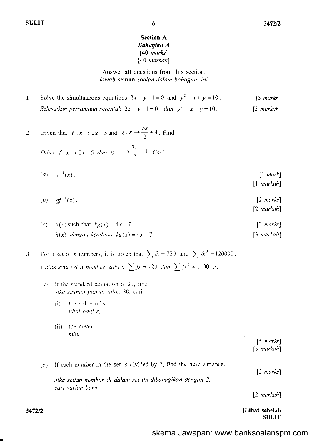# **Section A Bahagian A**  $[40$  marks]  $[40$  markah]

6

Answer all questions from this section. Jawab semua soalan dalam bahagian ini.

Solve the simultaneous equations  $2x - y - 1 = 0$  and  $y^2 - x + y = 10$ .  $\mathbf{1}$  $[5$  marks] Selesaikan persamaan serentak  $2x - y - 1 = 0$  dan  $y^2 - x + y = 10$ .  $[5$  markah]

2 Given that 
$$
f: x \to 2x - 5
$$
 and  $g: x \to \frac{3x}{2} + 4$ . Find

Diberi 
$$
f: x \to 2x-5
$$
 dan  $g: x \to \frac{3x}{2}+4$ . Cari

- (*a*)  $f^{-1}(x)$ ,  $[1 \text{ mark}]$  $\lceil 1 \text{ } markah \rceil$
- $(b)$  $gf^{-1}(x),$  $[2 \text{ marks}]$  $[2$  markah]
- $k(x)$  such that  $kg(x) = 4x + 7$ .  $\lceil 3 \text{ marks} \rceil$  $(c)$  $k(x)$  dengan keadaan  $kg(x) = 4x + 7$ .  $[3$  markah]

For a set of *n* numbers, it is given that  $\sum fx = 720$  and  $\sum fx^2 = 120000$ .  $\mathbf{3}$ Untuk satu set n nombor, diberi  $\sum fx = 720$  dan  $\sum fx^2 = 120000$ .

- $(a)$  If the standard deviation is 80, find Jika sisihan piawai ialah 80, cari
	- the value of  $n$ ,  $(i)$ nilai bagi n,
	- $(ii)$ the mean. min.

 $[5 \text{ marks}]$  $[5$  markah]

If each number in the set is divided by 2, find the new variance.  $(b)$ 

Jika setiap nombor di dalam set itu dibahagikan dengan 2, cari varian baru.

 $[2$  markah]

 $[2 \text{ marks}]$ 

[Lihat sebelah **SULIT** 

3472/2

skema Jawapan: www.banksoalanspm.com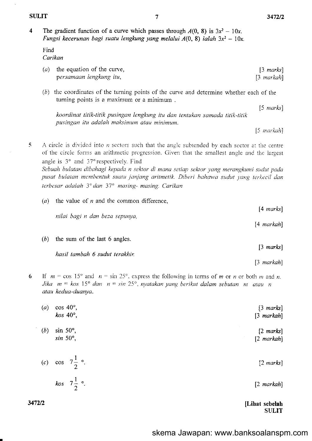$\overline{\mathbf{4}}$ The gradient function of a curve which passes through  $A(0, 8)$  is  $3x^2 - 10x$ . Fungsi kecerunan bagi suatu lengkung yang melalui  $A(0, 8)$  ialah  $3x^2 - 10x$ .

Find Carikan

- $(a)$  the equation of the curve,  $[3 \text{ marks}]$ persamaan lengkung itu,  $[3$  markah]
- (b) the coordinates of the turning points of the curve and determine whether each of the turning points is a maximum or a minimum.

koordinat titik-titik pusingan lengkung itu dan tentukan samada titik-titik pusingan itu adalah maksimum atau minimum.

 $[5$  markah]

 $[3$  markah]

 $[5$  marks]

A circle is divided into  $n$  sectors such that the angle subtended by each sector at the centre 5 of the circle forms an arithmetic progression. Given that the smallest angle and the largest angle is  $3^{\circ}$  and  $37^{\circ}$  respectively. Find

Sebuah bulatan dibahagi kepada n sektor di mana setiap sektor yang merangkumi sudut pada pusat bulatan membentuk suatu janjang aritmetik. Diberi bahawa sudut yang terkecil dan terbesar adalah 3° dan 37° masing- masing. Carikan

(a) the value of  $n$  and the common difference,  $[4 \text{ marks}]$ nilai bagi n dan beza sepunya, [4 markah]  $(b)$  the sum of the last 6 angles.  $[3 \text{ marks}]$ 

hasil tambah 6 sudut terakhir.

If  $m = \cos 15^{\circ}$  and  $n = \sin 25^{\circ}$ , express the following in terms of m or n or both m and n. 6 Jika  $m = k \circ s$  15° dan  $n = \sin 25^\circ$ , nyatakan yang berikut dalam sebutan m atau n atau kedua-duanya.

| $[3 \text{ marks}]$       | $\cos 40^\circ$ ,            | (a) |
|---------------------------|------------------------------|-----|
| $[3$ markah]              | kos $40^\circ$ ,             |     |
| $[2 \text{ marks}]$       | $\sin 50^\circ$ ,            | (b) |
| $[2$ markah $]$           | $sin 50^\circ$ ,             |     |
|                           |                              |     |
| $[2 \text{ marks}]$       | (c) cos $7\frac{1}{2}$ °.    |     |
|                           |                              |     |
| $[2$ markah]              | <i>kos</i> $7\frac{1}{2}$ °. |     |
| <b>IT 21.</b> 1. . 1. . 1 |                              | n   |

#### [Lihat sebelah **SULIT**

3472/2

 $\overline{7}$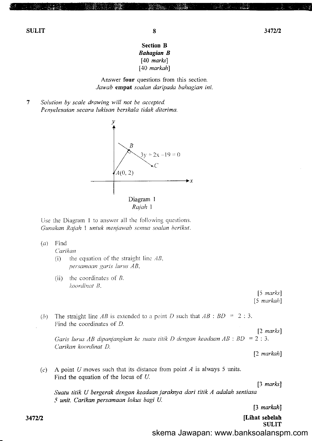### Section B Bahagian B  $[40$  marks] [40 markah]

Answer four questions from this section. Jawab empat soalan daripada bahagian ini.

 $\overline{7}$ Solution by scale drawing will not be accepted. Penyelesoian secara lukisan berskala tidak diterimo.





Use the Diagram 1 to answer all the following questions. Gunakan Rajah 1 untuk menjawab semua soalan berikut.

 $(a)$  Find

Carikan

- (i) the equation of the straight line  $AB$ , persamaan garis lurus AB,
- (ii) the coordinates of  $B$ . koordinat B.

 $[5$  marks]  $[5$  markah]

(b) The straight line AB is extended to a point D such that  $AB:BD = 2:3$ . Find the coordinates of  $D$ .

Garis lurus AB dipanjangkan ke suatu titik D dengan keadaan AB : BD =  $\overline{2}$  : 3 Carikan koordinat D.

[2 markah]

[2 marks]

(c) A point U moves such that its distance from point A is always 5 units. Find the equation of the locus of U.

 $[3 \text{ marks}]$ 

Suatu titik U bergerak dengan keadaan jaraknya dari titik A adalah sentiasa 5 unit. Carikan persamaan lokus bagi U.

[3 markah]

[Lihat sebelah **SULIT** 

skema Jawapan: www.banksoalanspm.com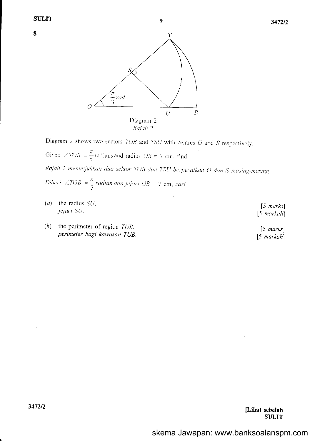8



Diagram 2 shows two sectors  $TOB$  and  $TSU$  with centres  $O$  and  $S$  respectively.

Given  $\angle TOB = \frac{\pi}{3}$  radians and radius  $OB = 7$  cm, find Rajah 2 menunjukkan dua sektor TOB dan TSU berpusatkan O dan S masing-masing. Diberi  $\angle TOB = \frac{\pi}{3}$ radian dan jejari OB = 7 cm, cari

- $(a)$ the radius SU, jejari SU.
- (b) the perimeter of region  $TUB$ . perimeter bagi kawasan TUB.

 $[5$  marks]  $[5$  markah]

 $[5$  marks]  $[5$  markah]

[Lihat sebelah **SULIT**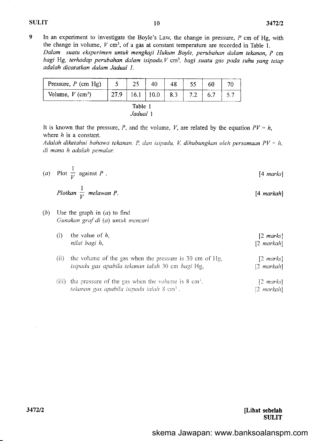# $SULIT$   $10$   $3472/2$

[4 markah]

 $[2$  markah]

9 In an experiment to investigate the Boyle's Law, the change in pressure,  $P$  cm of Hg, with the change in volume,  $V \text{ cm}^3$ , of a gas at constant temperature are recorded in Table 1. Dalam suatu eksperimen untuk mengkaji Hukum Boyle, perubahan dalam tekanan, P cm bagi Hg, terhadap perubahan dalam isipadu,  $V$  cm<sup>3</sup>, bagi suatu gas pada suhu yang tetap adalah dicatatkan dalam Jadual I.

| Pressure, $P$ (cm Hg)          |      | 25 | 40   | 48  |     | 60  |  |
|--------------------------------|------|----|------|-----|-----|-----|--|
| Volume, $V$ (cm <sup>3</sup> ) | 27.9 |    | 10.0 | 8.3 | 7.2 | 6.7 |  |
| Table                          |      |    |      |     |     |     |  |

| Jadual |  |
|--------|--|
|--------|--|

It is known that the pressure, P, and the volume, V, are related by the equation  $PV = h$ , where  $h$  is a constant.

Adalah diketahui bahawa tekanan, P, dan isipadu, V, dihubungkan oleh persamaan  $PV = h$ , di mana h adalah pemalar.

(a) Plot I  $\overline{V}$  against P [4 marks]

Plotkan  $\frac{1}{V}$  melawan P. V

 $(b)$  Use the graph in  $(a)$  to find Gunakan graf di (a) untuk mencari

tekanan gas apabila isipadu ialah  $3 \text{ cm}^3$ .

| (i)  | the value of $h$<br>nilai bagi h,                       | $[2 \text{ marks}]$<br>$[2 \text{ markah}]$ |
|------|---------------------------------------------------------|---------------------------------------------|
| (11) | the volume of the gas when the pressure is 30 cm of Hg, | $\lceil 2 \text{ marks} \rceil$             |

| isipadu gas apabila tekanan ialah 30 cm bagi Hg,                    | $\lceil 2 \text{ markah} \rceil$ |
|---------------------------------------------------------------------|----------------------------------|
| (iii) the pressure of the gas when the volume is $8 \text{ cm}^3$ . | $[2 \text{ marks}]$              |

[Lihat sebelah **SULIT** 

3472/2

 $\sim$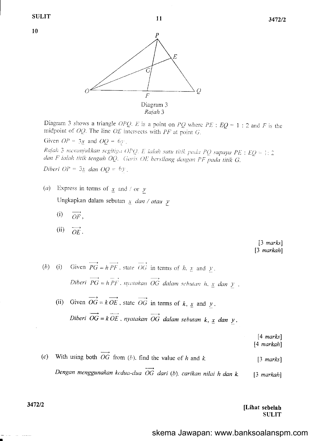10



Diagram 3 shows a triangle OPQ. E is a point on PQ where PE :  $EQ = 1$  : 2 and F is the midpoint of  $OQ$ . The line  $OE$  intersects with  $PF$  at point  $G$ .

Given  $OP = 3x$  and  $OQ = 6y$ .

Rajah 3 menunjukkan segitiga OPQ. E ialah satu titik pada PQ supaya PE : EQ = 1: 2 dan F ialah titik tengah OQ. Garis OE bersilang dengan PF pada titik G.

Diberi  $OP = 3x$  dan  $OQ = 6y$ .

- $(a)$ Express in terms of  $x$  and / or y Ungkapkan dalam sebutan  $\frac{x}{x}$  dan / atau y
	- $(i)$  $OF.$
	- $(ii)$  $\overline{OE}$ .

 $[3 \text{ marks}]$  $[3$  markah]

- Given  $\overrightarrow{PG} = h \overrightarrow{PF}$ , state  $\overrightarrow{OG}$  in terms of h, x and y.  $(b)$  (i) Diberi  $\overrightarrow{PG} = h \overrightarrow{PF}$ , nyatakan  $\overrightarrow{OG}$  dalam sebutan h,  $\underline{x}$  dan  $\underline{y}$ .
	- Given  $\overrightarrow{OG} = k \overrightarrow{OE}$ , state  $\overrightarrow{OG}$  in terms of k, x and y.  $(ii)$ Diberi OG =  $k$  OE, nyatakan OG dalam sebutan  $k$ ,  $\underline{x}$  dan  $\underline{y}$ .

 $[4$  marks]  $[4$  markah]

With using both  $\overrightarrow{OG}$  from (b), find the value of h and k.  $(c)$  $[3 \text{ marks}]$ Dengan menggunakan kedua-dua  $\overrightarrow{OG}$  dari (b), carikan nilai h dan k.  $[3$  markah]

> [Lihat sebelah **SULIT**

skema Jawapan: www.banksoalanspm.com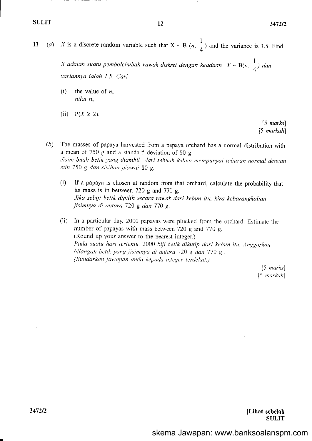11 (a) X is a discrete random variable such that  $X \sim B(n, \frac{1}{4})$  and the variance is 1.5. Find I  $\frac{1}{4}$ ) and the

> X adalah suatu pembolehubah rawak diskret dengan keadaan  $X \sim B(n, \frac{1}{4})$  dan variannya ialah 1.5. Cari

(i) the value of  $n$ , nilai n,

(ii)  $P(X \ge 2)$ .

[5 marks] [5 markah]

- $(b)$  The masses of papaya harvested from a papaya orchard has a normal distribution with a mean of 750 g and a standard deviation of 80 g. Jisim buah betik yang diambil dari sebuah kebun mempunyai taburan normal dengan nin 750 g dan sisihan piawai 80 g.
	- (i) If a papaya is chosen at random from that orchard, calculate the probability that its mass is in between 720 g and 770 g. Jika sebiji betik dipilih secara rawak dari kebun itu, kira kebarangkalian jisimnya di antara 720 g dan 770 g.
	- (ii) In a particular day. 2000 papayas \\ere plucked fiom the orchard. Estimate the number of papayas with mass between 720 g and 770 g. (Round up your answer to the nearest integer.) Pada suatu hari tertentu, 2000 biji betik dikutip dari kebun itu. Anggarkan bilangan betik yang jisimnya di antara 720 g dan 770 g. (Bundarkan jawapan anda kepada integer terdekat.)

 $[5$  marks] [5 markah]

[Lihat sebelah SULIT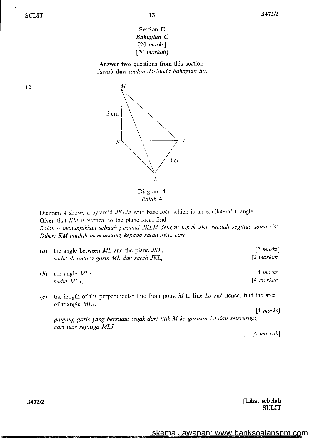# Section C Bahagian C  $[20$  marks [20 markah]

Answer two questions from this section. Jawab dua soalan daripada bahagian ini.



Rajah 4

Diagram 4 shows a pyramid  $JKLM$  with base  $JKL$  which is an equilateral triangle. Given that  $KM$  is vertical to the plane  $JKL$ , find Rajah 4 menunjukkan sebuah piramid JKLM dengan tapak JKL sebuah segitiga sama sisi. Diberi KM adalah mencancang kepada satah JKL, cari

| (a) the angle between $ML$ and the plane $JKL$ ,<br>sudut di antara garis ML dan satah JKL, | $\lceil 2 \text{ marks} \rceil$<br>$[2$ markah $]$ |
|---------------------------------------------------------------------------------------------|----------------------------------------------------|
| (b) the angle $MLJ$ ,<br>sudut MLJ,                                                         | $[4 \text{ marks}]$<br>$[4$ markah $]$             |

(c) the length of the perpendicular line from point  $M$  to line  $LJ$  and hence, find the area of triangle MLJ.

[4 *marks*]

panjang garis yang bersudut tegak dari titik M ke garisan lJ dan seterusnya, cari luas segitiga MIJ.

[4 markah]

[Lihat sebelah SULIT

12

3472n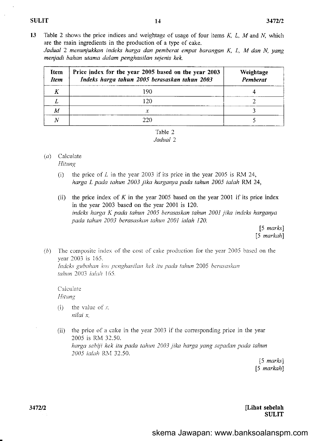13 Table 2 shows the price indices and weightage of usage of four items  $K$ ,  $L$ ,  $M$  and  $N$ , which are the main ingredients in the production of a type of cake.

Jadual 2 menunjukkan indeks horga dan pemberat empat barangan K, L, M dan N, yang menjadi bahan utama dalam penghasilan sejenis kek.

| Item<br><b>Item</b> | Price index for the year 2005 based on the year 2003<br>Indeks harga tahun 2005 berasaskan tahun 2003 | Weightage<br>Pemberat |
|---------------------|-------------------------------------------------------------------------------------------------------|-----------------------|
|                     | 190                                                                                                   |                       |
|                     | $\overline{20}$                                                                                       |                       |
| M                   | х                                                                                                     |                       |
|                     | 220.                                                                                                  |                       |



### $(a)$  Calculate

Hitung

- (i) the price of  $L$  in the year 2003 if its price in the year 2005 is RM 24, harga L pada tahun 2003 jika harganya pada tahun 2005 ialah RM 24,
- (ii) the price index of K in the year 2005 based on the year 2001 if its price index in the year 2003 based on the year 2001 is 120. indeks hargo K pada tahun 2005 berasaskan tahun 2001 jika indeks harganya pada tahun 2003 berasaskan tahun 2001 ialah 120.

[5 *marks*] [5 markah]

(b) The composite index of the cost of cake production for the year 2005 based on the year 2003 is 165.

Indeks gubahan kos penghasilan kek itu pada tahun 2005 berasaskan tahun 2003 ialah 165.

Calculate Hitung

- (i) the value of  $x$ . nilai x,
- (ii) the price of a cake in the year 2003 if the conesponding price in the year 2005 is RM 32.50. harga sebiji kek itu pada tahun 2003 jika harga yang sepadan pada tahun 2005 ialah RM 32.50.

[5 marks] [5 markahl

[Lihat sebelah **SULIT**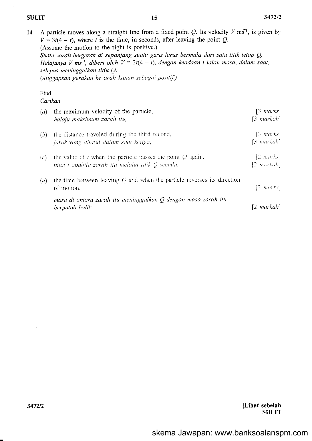$\ddot{\phantom{1}}$ 

|                 | A particle moves along a straight line from a fixed point Q. Its velocity $V \text{ ms}^{-1}$ , is given by<br>$V = 3t(4-t)$ , where t is the time, in seconds, after leaving the point Q.<br>(Assume the motion to the right is positive.)<br>Suatu zarah bergerak di sepanjang suatu garis lurus bermula dari satu titik tetap Q.<br>Halajunya V ms <sup>1</sup> , diberi oleh $V = 3t(4 - t)$ , dengan keadaan t ialah masa, dalam saat,<br>selepas meninggalkan titik Q.<br>(Anggapkan gerakan ke arah kanan sebagai positif.) |                                        |
|-----------------|------------------------------------------------------------------------------------------------------------------------------------------------------------------------------------------------------------------------------------------------------------------------------------------------------------------------------------------------------------------------------------------------------------------------------------------------------------------------------------------------------------------------------------|----------------------------------------|
| Find<br>Carikan |                                                                                                                                                                                                                                                                                                                                                                                                                                                                                                                                    |                                        |
|                 | $(a)$ the maximum velocity of the particle,<br>halaju maksimum zarah itu,                                                                                                                                                                                                                                                                                                                                                                                                                                                          | $[3 \text{ marks}]$<br>$[3 \; markah]$ |
| (b)             | the distance traveled during the third second,<br>jarak yang dilalui dalam saat ketiga,                                                                                                                                                                                                                                                                                                                                                                                                                                            | $[3 \; marks]$<br>[3-markah]           |
| $\mathcal{C}$   | the value of t when the particle passes the point $Q$ again.<br>nilai t-apabila zarah itu melalui titik Q semula,                                                                                                                                                                                                                                                                                                                                                                                                                  | $[2 \; marks]$<br>$[2$ markah          |
| (d)             | the time between leaving $Q$ and when the particle reverses its direction<br>of motion.                                                                                                                                                                                                                                                                                                                                                                                                                                            | $[2 \; marks]$                         |
|                 | masa di antara zarah itu meninggalkan $Q$ dengan masa zarah itu<br>berpatah balik.                                                                                                                                                                                                                                                                                                                                                                                                                                                 | $[2 \text{ markah}]$                   |

sebelah SIJLIT  $3472/2$  [Lihat]

 $\mathcal{A}^{\mathcal{A}}$ 

 $\mathcal{A}^{\mathcal{A}}$ 

 $\sim$   $\sqrt{s}$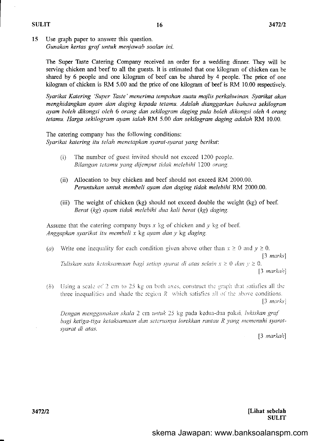#### SULIT

15 Use graph paper to answer this question. Gunakan kertas graf untuk menjawab soalan ini.

The Super Taste Catering Company received an order for a wedding dirner. They will be serving chicken and beef to all the guests. It is estimated that one kilogram of chicken can be shared by 6 people and one kilogram of beef can be shared by 4 people. The price of one kilogram of chicken is RM 5.00 and the price of one kilogram of beef is RM 10.00 respectively.

Syarikot Katering 'Super Taste'menerima tempahan suatu majlis perkahwinan. Syarikat okan menghidangkan ayam dan daging kepada tetamu. Adaloh dianggarkan bahowa sekilogram ayam boleh dikongsi oleh 6 orang dan sekilogram daging pula boleh dikongsi oleh 4 orang tetamu. Harga sekilogram ayam ialah RM 5.00 dan sekilogram daging adalah RM 10.00.

The catering company has the following conditions: Syarikat katering itu telah menetapkan syarat-syarat yang berikut'.

- (i) The number of guest invited should not exceed 1200 people. Bilangan tetamu yang dijemput tidak melebihi 1200 orang.
- (ii) Allocation to buy chicken and beef should not exceed RM 2000.00. Peruntukan untuk membeli ayam dan daging tidak melebihi RM 2000.00.
- (iii) The weight of chicken (kg) should not exceed double the weight (kg) of beef. Berat (kg) ayam tidak melebihi dua kali berat (kg) daging.

Assume that the catering company buys  $x$  kg of chicken and  $y$  kg of beef. Anggapkan syarikat itu membeli x kg ayam dan y kg doging.

(a) Write one inequality for each condition given above other than  $x \ge 0$  and  $y \ge 0$ . [3 marks] Tuliskan satu ketaksamaan bagi setiap syarat di atas selain  $x \geq 0$  dan  $y \geq 0$ .

 $[3$  markah $]$ 

(b) Using a scale of 2 cm to 25 kg on both axes, construct the graph that satisfies all the three inequalities and shade the region  $R$  which satisfies all of the above conditions.  $[3 \text{ marks}]$ 

Dengan menggunakan skala 2 cm untuk 25 kg pada kedua-dua paksi, lukiskan graf bagi ketiga-tiga ketaksamaan dan seterusnya lorekkan rantau R yang memenuhi syaratsyarat di atas.

[3 markah]

[Lihat sebelah **SULIT**